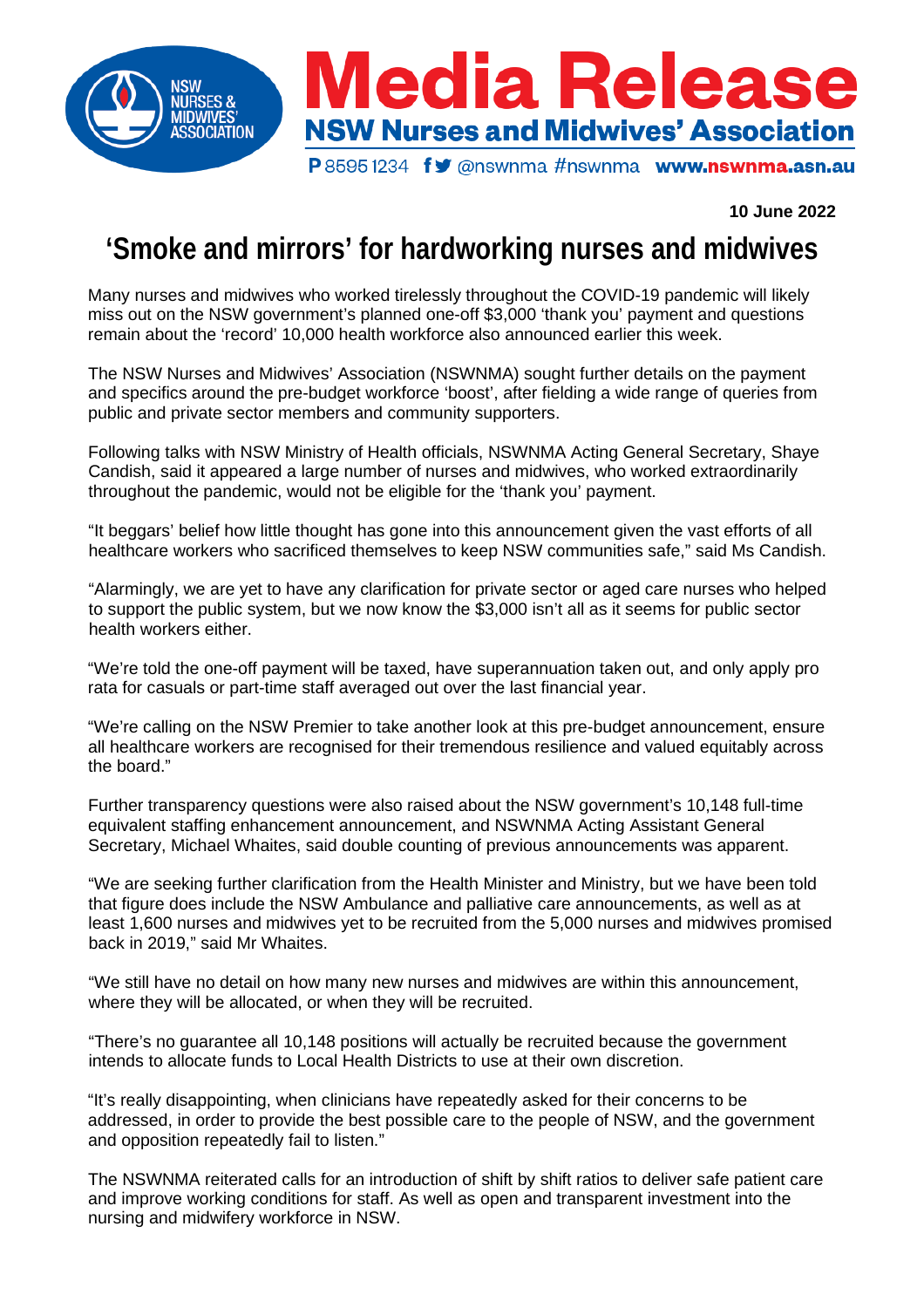

## **10 June 2022**

## **'Smoke and mirrors' for hardworking nurses and midwives**

Many nurses and midwives who worked tirelessly throughout the COVID-19 pandemic will likely miss out on the NSW government's planned one-off \$3,000 'thank you' payment and questions remain about the 'record' 10,000 health workforce also announced earlier this week.

The NSW Nurses and Midwives' Association (NSWNMA) sought further details on the payment and specifics around the pre-budget workforce 'boost', after fielding a wide range of queries from public and private sector members and community supporters.

Following talks with NSW Ministry of Health officials, NSWNMA Acting General Secretary, Shaye Candish, said it appeared a large number of nurses and midwives, who worked extraordinarily throughout the pandemic, would not be eligible for the 'thank you' payment.

"It beggars' belief how little thought has gone into this announcement given the vast efforts of all healthcare workers who sacrificed themselves to keep NSW communities safe," said Ms Candish.

"Alarmingly, we are yet to have any clarification for private sector or aged care nurses who helped to support the public system, but we now know the \$3,000 isn't all as it seems for public sector health workers either.

"We're told the one-off payment will be taxed, have superannuation taken out, and only apply pro rata for casuals or part-time staff averaged out over the last financial year.

"We're calling on the NSW Premier to take another look at this pre-budget announcement, ensure all healthcare workers are recognised for their tremendous resilience and valued equitably across the board."

Further transparency questions were also raised about the NSW government's 10,148 full-time equivalent staffing enhancement announcement, and NSWNMA Acting Assistant General Secretary, Michael Whaites, said double counting of previous announcements was apparent.

"We are seeking further clarification from the Health Minister and Ministry, but we have been told that figure does include the NSW Ambulance and palliative care announcements, as well as at least 1,600 nurses and midwives yet to be recruited from the 5,000 nurses and midwives promised back in 2019," said Mr Whaites.

"We still have no detail on how many new nurses and midwives are within this announcement, where they will be allocated, or when they will be recruited.

"There's no guarantee all 10,148 positions will actually be recruited because the government intends to allocate funds to Local Health Districts to use at their own discretion.

"It's really disappointing, when clinicians have repeatedly asked for their concerns to be addressed, in order to provide the best possible care to the people of NSW, and the government and opposition repeatedly fail to listen."

The NSWNMA reiterated calls for an introduction of shift by shift ratios to deliver safe patient care and improve working conditions for staff. As well as open and transparent investment into the nursing and midwifery workforce in NSW.